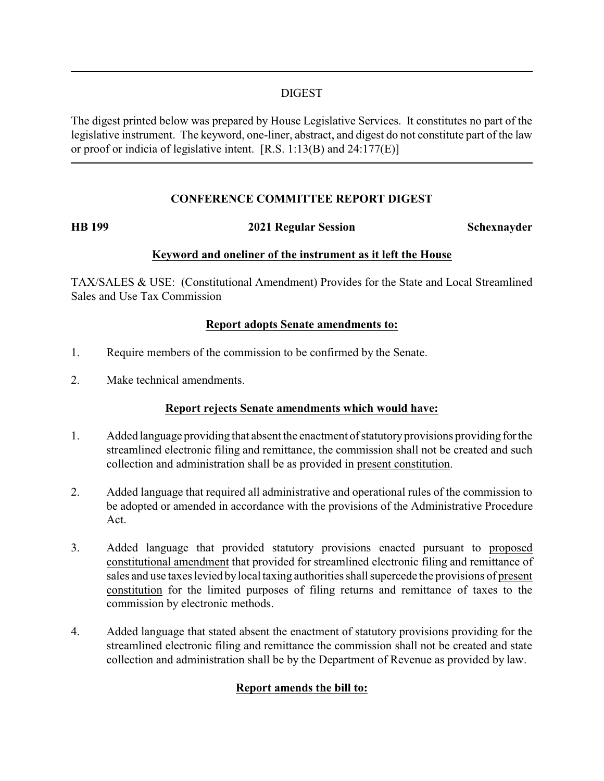### DIGEST

The digest printed below was prepared by House Legislative Services. It constitutes no part of the legislative instrument. The keyword, one-liner, abstract, and digest do not constitute part of the law or proof or indicia of legislative intent. [R.S. 1:13(B) and 24:177(E)]

# **CONFERENCE COMMITTEE REPORT DIGEST**

## **HB 199 2021 Regular Session Schexnayder**

### **Keyword and oneliner of the instrument as it left the House**

TAX/SALES & USE: (Constitutional Amendment) Provides for the State and Local Streamlined Sales and Use Tax Commission

### **Report adopts Senate amendments to:**

- 1. Require members of the commission to be confirmed by the Senate.
- 2. Make technical amendments.

# **Report rejects Senate amendments which would have:**

- 1. Added language providing that absent the enactment of statutoryprovisions providing forthe streamlined electronic filing and remittance, the commission shall not be created and such collection and administration shall be as provided in present constitution.
- 2. Added language that required all administrative and operational rules of the commission to be adopted or amended in accordance with the provisions of the Administrative Procedure Act.
- 3. Added language that provided statutory provisions enacted pursuant to proposed constitutional amendment that provided for streamlined electronic filing and remittance of sales and use taxes levied by local taxing authorities shall supercede the provisions of present constitution for the limited purposes of filing returns and remittance of taxes to the commission by electronic methods.
- 4. Added language that stated absent the enactment of statutory provisions providing for the streamlined electronic filing and remittance the commission shall not be created and state collection and administration shall be by the Department of Revenue as provided by law.

# **Report amends the bill to:**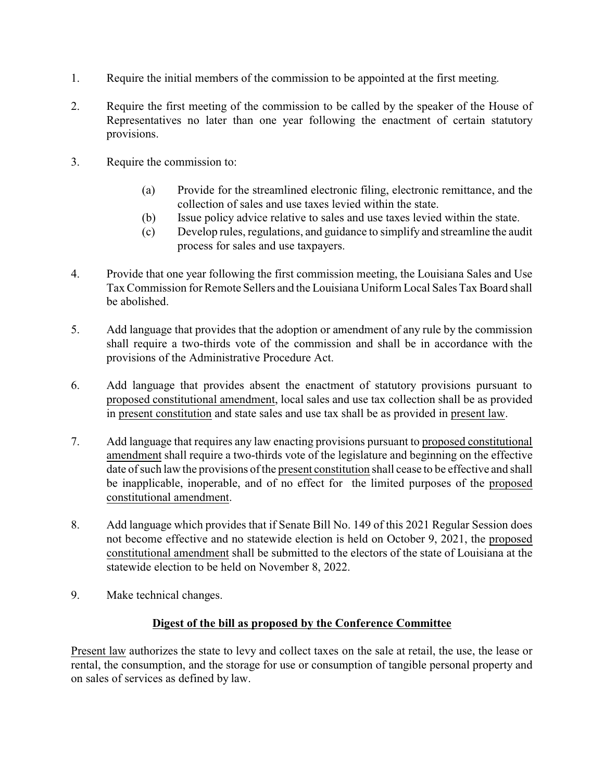- 1. Require the initial members of the commission to be appointed at the first meeting.
- 2. Require the first meeting of the commission to be called by the speaker of the House of Representatives no later than one year following the enactment of certain statutory provisions.
- 3. Require the commission to:
	- (a) Provide for the streamlined electronic filing, electronic remittance, and the collection of sales and use taxes levied within the state.
	- (b) Issue policy advice relative to sales and use taxes levied within the state.
	- (c) Develop rules, regulations, and guidance to simplify and streamline the audit process for sales and use taxpayers.
- 4. Provide that one year following the first commission meeting, the Louisiana Sales and Use TaxCommission for Remote Sellers and the Louisiana Uniform Local Sales TaxBoard shall be abolished.
- 5. Add language that provides that the adoption or amendment of any rule by the commission shall require a two-thirds vote of the commission and shall be in accordance with the provisions of the Administrative Procedure Act.
- 6. Add language that provides absent the enactment of statutory provisions pursuant to proposed constitutional amendment, local sales and use tax collection shall be as provided in present constitution and state sales and use tax shall be as provided in present law.
- 7. Add language that requires any law enacting provisions pursuant to proposed constitutional amendment shall require a two-thirds vote of the legislature and beginning on the effective date of such law the provisions of the present constitution shall cease to be effective and shall be inapplicable, inoperable, and of no effect for the limited purposes of the proposed constitutional amendment.
- 8. Add language which provides that if Senate Bill No. 149 of this 2021 Regular Session does not become effective and no statewide election is held on October 9, 2021, the proposed constitutional amendment shall be submitted to the electors of the state of Louisiana at the statewide election to be held on November 8, 2022.
- 9. Make technical changes.

# **Digest of the bill as proposed by the Conference Committee**

Present law authorizes the state to levy and collect taxes on the sale at retail, the use, the lease or rental, the consumption, and the storage for use or consumption of tangible personal property and on sales of services as defined by law.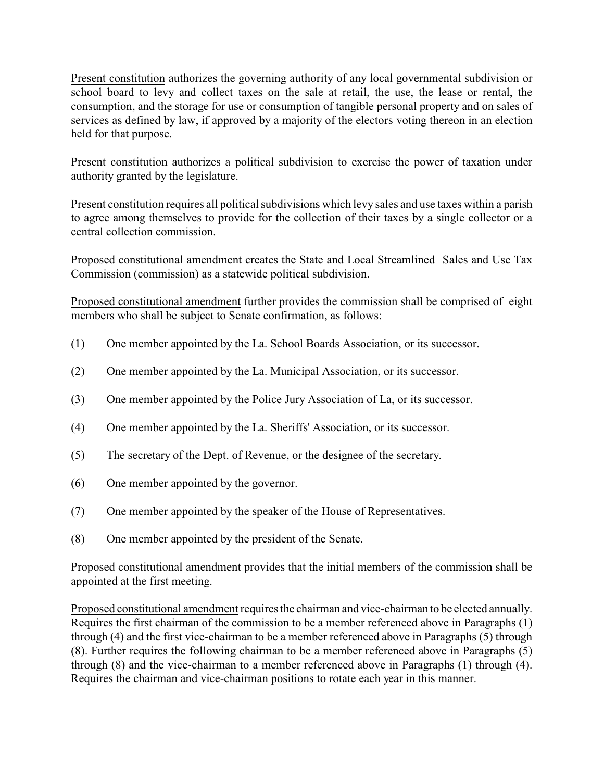Present constitution authorizes the governing authority of any local governmental subdivision or school board to levy and collect taxes on the sale at retail, the use, the lease or rental, the consumption, and the storage for use or consumption of tangible personal property and on sales of services as defined by law, if approved by a majority of the electors voting thereon in an election held for that purpose.

Present constitution authorizes a political subdivision to exercise the power of taxation under authority granted by the legislature.

Present constitution requires all political subdivisions which levy sales and use taxes within a parish to agree among themselves to provide for the collection of their taxes by a single collector or a central collection commission.

Proposed constitutional amendment creates the State and Local Streamlined Sales and Use Tax Commission (commission) as a statewide political subdivision.

Proposed constitutional amendment further provides the commission shall be comprised of eight members who shall be subject to Senate confirmation, as follows:

- (1) One member appointed by the La. School Boards Association, or its successor.
- (2) One member appointed by the La. Municipal Association, or its successor.
- (3) One member appointed by the Police Jury Association of La, or its successor.
- (4) One member appointed by the La. Sheriffs' Association, or its successor.
- (5) The secretary of the Dept. of Revenue, or the designee of the secretary.
- (6) One member appointed by the governor.
- (7) One member appointed by the speaker of the House of Representatives.
- (8) One member appointed by the president of the Senate.

Proposed constitutional amendment provides that the initial members of the commission shall be appointed at the first meeting.

Proposed constitutional amendment requires the chairman and vice-chairman to be elected annually. Requires the first chairman of the commission to be a member referenced above in Paragraphs (1) through (4) and the first vice-chairman to be a member referenced above in Paragraphs (5) through (8). Further requires the following chairman to be a member referenced above in Paragraphs (5) through (8) and the vice-chairman to a member referenced above in Paragraphs (1) through (4). Requires the chairman and vice-chairman positions to rotate each year in this manner.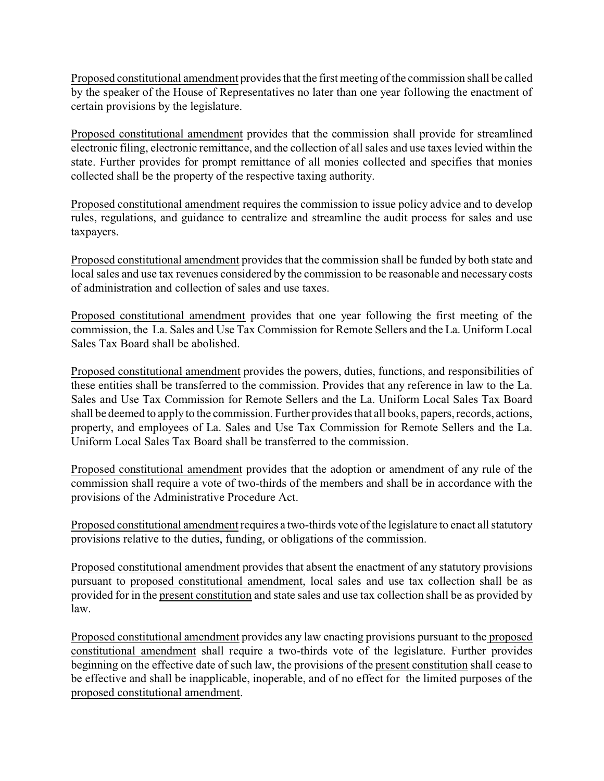Proposed constitutional amendment provides that the first meeting of the commission shall be called by the speaker of the House of Representatives no later than one year following the enactment of certain provisions by the legislature.

Proposed constitutional amendment provides that the commission shall provide for streamlined electronic filing, electronic remittance, and the collection of all sales and use taxes levied within the state. Further provides for prompt remittance of all monies collected and specifies that monies collected shall be the property of the respective taxing authority.

Proposed constitutional amendment requires the commission to issue policy advice and to develop rules, regulations, and guidance to centralize and streamline the audit process for sales and use taxpayers.

Proposed constitutional amendment provides that the commission shall be funded by both state and local sales and use tax revenues considered by the commission to be reasonable and necessary costs of administration and collection of sales and use taxes.

Proposed constitutional amendment provides that one year following the first meeting of the commission, the La. Sales and Use Tax Commission for Remote Sellers and the La. Uniform Local Sales Tax Board shall be abolished.

Proposed constitutional amendment provides the powers, duties, functions, and responsibilities of these entities shall be transferred to the commission. Provides that any reference in law to the La. Sales and Use Tax Commission for Remote Sellers and the La. Uniform Local Sales Tax Board shall be deemed to apply to the commission. Further provides that all books, papers, records, actions, property, and employees of La. Sales and Use Tax Commission for Remote Sellers and the La. Uniform Local Sales Tax Board shall be transferred to the commission.

Proposed constitutional amendment provides that the adoption or amendment of any rule of the commission shall require a vote of two-thirds of the members and shall be in accordance with the provisions of the Administrative Procedure Act.

Proposed constitutional amendment requires a two-thirds vote of the legislature to enact all statutory provisions relative to the duties, funding, or obligations of the commission.

Proposed constitutional amendment provides that absent the enactment of any statutory provisions pursuant to proposed constitutional amendment, local sales and use tax collection shall be as provided for in the present constitution and state sales and use tax collection shall be as provided by law.

Proposed constitutional amendment provides any law enacting provisions pursuant to the proposed constitutional amendment shall require a two-thirds vote of the legislature. Further provides beginning on the effective date of such law, the provisions of the present constitution shall cease to be effective and shall be inapplicable, inoperable, and of no effect for the limited purposes of the proposed constitutional amendment.